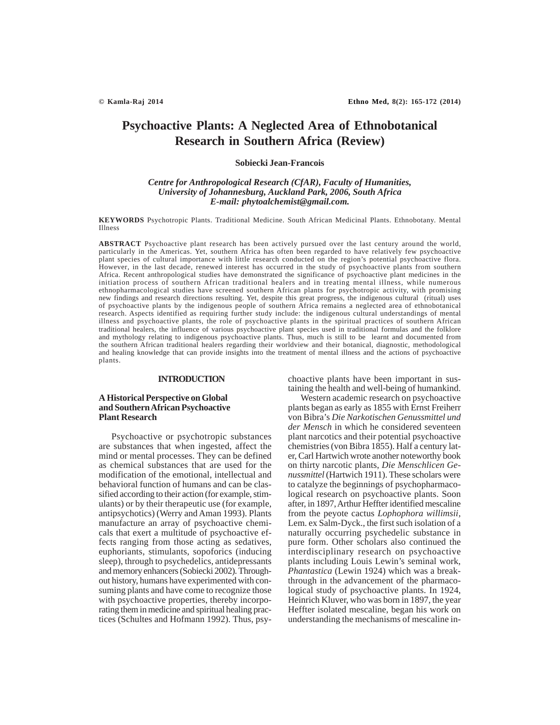# **Psychoactive Plants: A Neglected Area of Ethnobotanical Research in Southern Africa (Review)**

# **Sobiecki Jean-Francois**

# *Centre for Anthropological Research (CfAR), Faculty of Humanities, University of Johannesburg, Auckland Park, 2006, South Africa E-mail: phytoalchemist@gmail.com.*

### **KEYWORDS** Psychotropic Plants. Traditional Medicine. South African Medicinal Plants. Ethnobotany. Mental Illness

**ABSTRACT** Psychoactive plant research has been actively pursued over the last century around the world, particularly in the Americas. Yet, southern Africa has often been regarded to have relatively few psychoactive plant species of cultural importance with little research conducted on the region's potential psychoactive flora. However, in the last decade, renewed interest has occurred in the study of psychoactive plants from southern Africa. Recent anthropological studies have demonstrated the significance of psychoactive plant medicines in the initiation process of southern African traditional healers and in treating mental illness, while numerous ethnopharmacological studies have screened southern African plants for psychotropic activity, with promising new findings and research directions resulting. Yet, despite this great progress, the indigenous cultural (ritual) uses of psychoactive plants by the indigenous people of southern Africa remains a neglected area of ethnobotanical research. Aspects identified as requiring further study include: the indigenous cultural understandings of mental illness and psychoactive plants, the role of psychoactive plants in the spiritual practices of southern African traditional healers, the influence of various psychoactive plant species used in traditional formulas and the folklore and mythology relating to indigenous psychoactive plants. Thus, much is still to be learnt and documented from the southern African traditional healers regarding their worldview and their botanical, diagnostic, methodological and healing knowledge that can provide insights into the treatment of mental illness and the actions of psychoactive plants.

#### **INTRODUCTION**

# **A Historical Perspective on Global and Southern African Psychoactive Plant Research**

Psychoactive or psychotropic substances are substances that when ingested, affect the mind or mental processes. They can be defined as chemical substances that are used for the modification of the emotional, intellectual and behavioral function of humans and can be classified according to their action (for example, stimulants) or by their therapeutic use (for example, antipsychotics) (Werry and Aman 1993). Plants manufacture an array of psychoactive chemicals that exert a multitude of psychoactive effects ranging from those acting as sedatives, euphoriants, stimulants, sopoforics (inducing sleep), through to psychedelics, antidepressants and memory enhancers (Sobiecki 2002). Throughout history, humans have experimented with consuming plants and have come to recognize those with psychoactive properties, thereby incorporating them in medicine and spiritual healing practices (Schultes and Hofmann 1992). Thus, psychoactive plants have been important in sustaining the health and well-being of humankind.

Western academic research on psychoactive plants began as early as 1855 with Ernst Freiherr von Bibra's *Die Narkotischen Genussmittel und der Mensch* in which he considered seventeen plant narcotics and their potential psychoactive chemistries (von Bibra 1855). Half a century later, Carl Hartwich wrote another noteworthy book on thirty narcotic plants, *Die Menschlicen Genussmittel* (Hartwich 1911). These scholars were to catalyze the beginnings of psychopharmacological research on psychoactive plants. Soon after, in 1897, Arthur Heffter identified mescaline from the peyote cactus *Lophophora willimsii*, Lem. ex Salm-Dyck., the first such isolation of a naturally occurring psychedelic substance in pure form. Other scholars also continued the interdisciplinary research on psychoactive plants including Louis Lewin's seminal work, *Phantastica* (Lewin 1924) which was a breakthrough in the advancement of the pharmacological study of psychoactive plants. In 1924, Heinrich Kluver, who was born in 1897, the year Heffter isolated mescaline, began his work on understanding the mechanisms of mescaline in-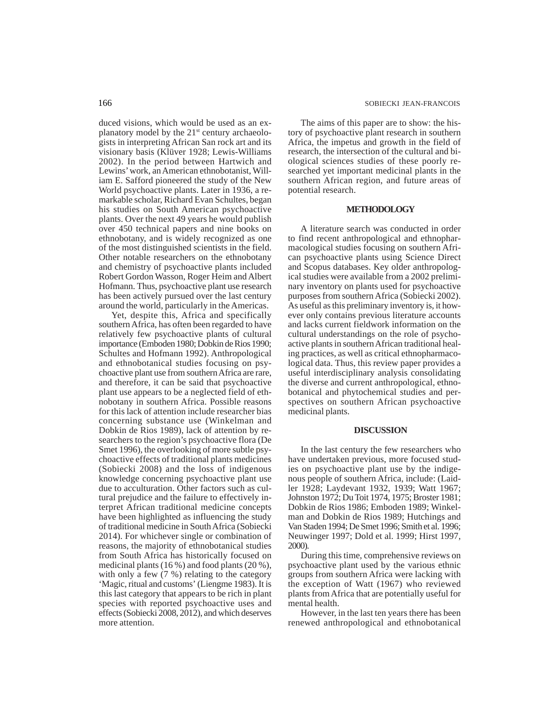duced visions, which would be used as an explanatory model by the  $21<sup>st</sup>$  century archaeologists in interpreting African San rock art and its visionary basis (Klüver 1928; Lewis-Williams 2002). In the period between Hartwich and Lewins' work, an American ethnobotanist, William E. Safford pioneered the study of the New World psychoactive plants. Later in 1936, a remarkable scholar, Richard Evan Schultes, began his studies on South American psychoactive plants. Over the next 49 years he would publish over 450 technical papers and nine books on ethnobotany, and is widely recognized as one of the most distinguished scientists in the field. Other notable researchers on the ethnobotany and chemistry of psychoactive plants included Robert Gordon Wasson, Roger Heim and Albert Hofmann. Thus, psychoactive plant use research has been actively pursued over the last century around the world, particularly in the Americas.

Yet, despite this, Africa and specifically southern Africa, has often been regarded to have relatively few psychoactive plants of cultural importance (Emboden 1980; Dobkin de Rios 1990; Schultes and Hofmann 1992). Anthropological and ethnobotanical studies focusing on psychoactive plant use from southern Africa are rare, and therefore, it can be said that psychoactive plant use appears to be a neglected field of ethnobotany in southern Africa. Possible reasons for this lack of attention include researcher bias concerning substance use (Winkelman and Dobkin de Rios 1989), lack of attention by researchers to the region's psychoactive flora (De Smet 1996), the overlooking of more subtle psychoactive effects of traditional plants medicines (Sobiecki 2008) and the loss of indigenous knowledge concerning psychoactive plant use due to acculturation. Other factors such as cultural prejudice and the failure to effectively interpret African traditional medicine concepts have been highlighted as influencing the study of traditional medicine in South Africa (Sobiecki 2014). For whichever single or combination of reasons, the majority of ethnobotanical studies from South Africa has historically focused on medicinal plants (16 %) and food plants (20 %), with only a few (7 %) relating to the category 'Magic, ritual and customs' (Liengme 1983). It is this last category that appears to be rich in plant species with reported psychoactive uses and effects (Sobiecki 2008, 2012), and which deserves more attention.

The aims of this paper are to show: the history of psychoactive plant research in southern Africa, the impetus and growth in the field of research, the intersection of the cultural and biological sciences studies of these poorly researched yet important medicinal plants in the southern African region, and future areas of potential research.

## **METHODOLOGY**

A literature search was conducted in order to find recent anthropological and ethnopharmacological studies focusing on southern African psychoactive plants using Science Direct and Scopus databases. Key older anthropological studies were available from a 2002 preliminary inventory on plants used for psychoactive purposes from southern Africa (Sobiecki 2002). As useful as this preliminary inventory is, it however only contains previous literature accounts and lacks current fieldwork information on the cultural understandings on the role of psychoactive plants in southern African traditional healing practices, as well as critical ethnopharmacological data. Thus, this review paper provides a useful interdisciplinary analysis consolidating the diverse and current anthropological, ethnobotanical and phytochemical studies and perspectives on southern African psychoactive medicinal plants.

## **DISCUSSION**

In the last century the few researchers who have undertaken previous, more focused studies on psychoactive plant use by the indigenous people of southern Africa, include: (Laidler 1928; Laydevant 1932, 1939; Watt 1967; Johnston 1972; Du Toit 1974, 1975; Broster 1981; Dobkin de Rios 1986; Emboden 1989; Winkelman and Dobkin de Rios 1989; Hutchings and Van Staden 1994; De Smet 1996; Smith et al. 1996; Neuwinger 1997; Dold et al. 1999; Hirst 1997, 2000).

During this time, comprehensive reviews on psychoactive plant used by the various ethnic groups from southern Africa were lacking with the exception of Watt (1967) who reviewed plants from Africa that are potentially useful for mental health.

However, in the last ten years there has been renewed anthropological and ethnobotanical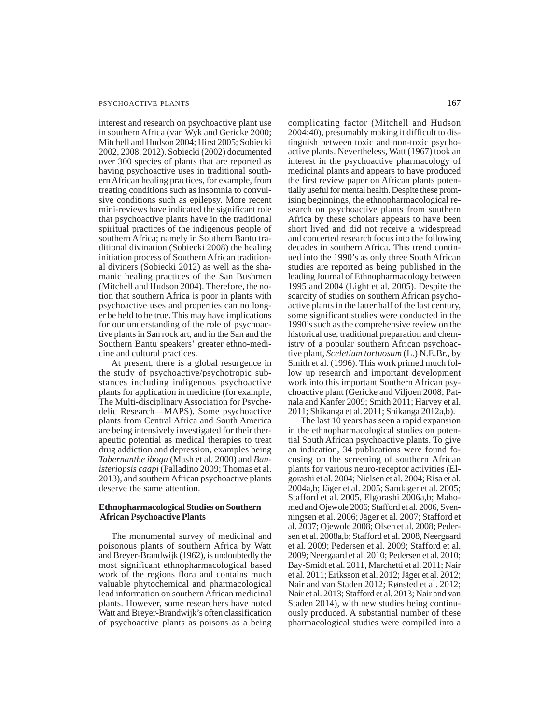## PSYCHOACTIVE PLANTS 167

interest and research on psychoactive plant use in southern Africa (van Wyk and Gericke 2000; Mitchell and Hudson 2004; Hirst 2005; Sobiecki 2002, 2008, 2012). Sobiecki (2002) documented over 300 species of plants that are reported as having psychoactive uses in traditional southern African healing practices, for example, from treating conditions such as insomnia to convulsive conditions such as epilepsy. More recent mini-reviews have indicated the significant role that psychoactive plants have in the traditional spiritual practices of the indigenous people of southern Africa; namely in Southern Bantu traditional divination (Sobiecki 2008) the healing initiation process of Southern African traditional diviners (Sobiecki 2012) as well as the shamanic healing practices of the San Bushmen (Mitchell and Hudson 2004). Therefore, the notion that southern Africa is poor in plants with psychoactive uses and properties can no longer be held to be true. This may have implications for our understanding of the role of psychoactive plants in San rock art, and in the San and the Southern Bantu speakers' greater ethno-medicine and cultural practices.

At present, there is a global resurgence in the study of psychoactive/psychotropic substances including indigenous psychoactive plants for application in medicine (for example, The Multi-disciplinary Association for Psychedelic Research—MAPS). Some psychoactive plants from Central Africa and South America are being intensively investigated for their therapeutic potential as medical therapies to treat drug addiction and depression, examples being *Tabernanthe iboga* (Mash et al. 2000) and *Banisteriopsis caapi* (Palladino 2009; Thomas et al. 2013), and southern African psychoactive plants deserve the same attention.

## **Ethnopharmacological Studies on Southern African Psychoactive Plants**

The monumental survey of medicinal and poisonous plants of southern Africa by Watt and Breyer-Brandwijk (1962), is undoubtedly the most significant ethnopharmacological based work of the regions flora and contains much valuable phytochemical and pharmacological lead information on southern African medicinal plants. However, some researchers have noted Watt and Breyer-Brandwijk's often classification of psychoactive plants as poisons as a being complicating factor (Mitchell and Hudson 2004:40), presumably making it difficult to distinguish between toxic and non-toxic psychoactive plants. Nevertheless, Watt (1967) took an interest in the psychoactive pharmacology of medicinal plants and appears to have produced the first review paper on African plants potentially useful for mental health. Despite these promising beginnings, the ethnopharmacological research on psychoactive plants from southern Africa by these scholars appears to have been short lived and did not receive a widespread and concerted research focus into the following decades in southern Africa. This trend continued into the 1990's as only three South African studies are reported as being published in the leading Journal of Ethnopharmacology between 1995 and 2004 (Light et al. 2005). Despite the scarcity of studies on southern African psychoactive plants in the latter half of the last century, some significant studies were conducted in the 1990's such as the comprehensive review on the historical use, traditional preparation and chemistry of a popular southern African psychoactive plant, *Sceletium tortuosum* (L.) N.E.Br., by Smith et al. (1996). This work primed much follow up research and important development work into this important Southern African psychoactive plant (Gericke and Viljoen 2008; Patnala and Kanfer 2009; Smith 2011; Harvey et al. 2011; Shikanga et al. 2011; Shikanga 2012a,b).

The last 10 years has seen a rapid expansion in the ethnopharmacological studies on potential South African psychoactive plants. To give an indication, 34 publications were found focusing on the screening of southern African plants for various neuro-receptor activities (Elgorashi et al. 2004; Nielsen et al. 2004; Risa et al. 2004a,b; Jäger et al. 2005; Sandager et al. 2005; Stafford et al. 2005, Elgorashi 2006a,b; Mahomed and Ojewole 2006; Stafford et al. 2006, Svenningsen et al. 2006; Jäger et al. 2007; Stafford et al. 2007; Ojewole 2008; Olsen et al. 2008; Pedersen et al. 2008a,b; Stafford et al. 2008, Neergaard et al. 2009; Pedersen et al. 2009; Stafford et al. 2009; Neergaard et al. 2010; Pedersen et al. 2010; Bay-Smidt et al. 2011, Marchetti et al. 2011; Nair et al. 2011; Eriksson et al. 2012; Jäger et al. 2012; Nair and van Staden 2012; Rønsted et al. 2012; Nair et al. 2013; Stafford et al. 2013; Nair and van Staden 2014), with new studies being continuously produced. A substantial number of these pharmacological studies were compiled into a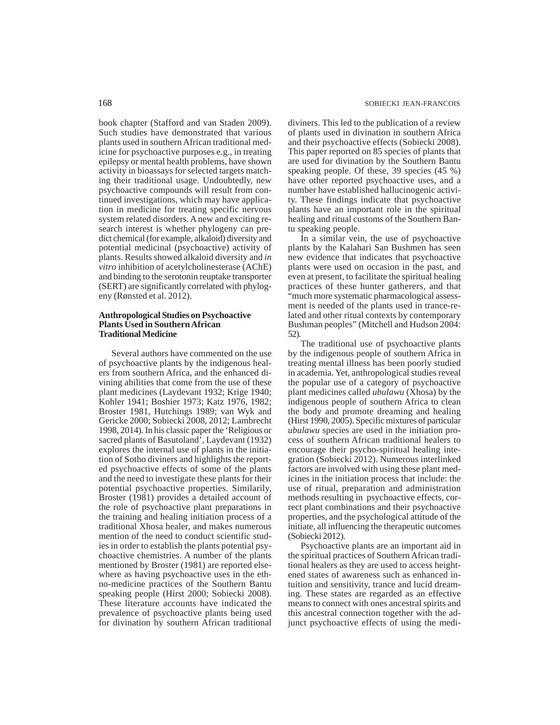book chapter (Stafford and van Staden 2009). Such studies have demonstrated that various plants used in southern African traditional medicine for psychoactive purposes e.g., in treating epilepsy or mental health problems, have shown activity in bioassays for selected targets matching their traditional usage. Undoubtedly, new psychoactive compounds will result from continued investigations, which may have application in medicine for treating specific nervous system related disorders. A new and exciting research interest is whether phylogeny can predict chemical (for example, alkaloid) diversity and potential medicinal (psychoactive) activity of plants. Results showed alkaloid diversity and *in vitro* inhibition of acetylcholinesterase (AChE) and binding to the serotonin reuptake transporter (SERT) are significantly correlated with phylogeny (Rønsted et al. 2012).

## **Anthropological Studies on Psychoactive Plants Used in Southern African Traditional Medicine**

Several authors have commented on the use of psychoactive plants by the indigenous healers from southern Africa, and the enhanced divining abilities that come from the use of these plant medicines (Laydevant 1932; Krige 1940; Kohler 1941; Boshier 1973; Katz 1976, 1982; Broster 1981, Hutchings 1989; van Wyk and Gericke 2000; Sobiecki 2008, 2012; Lambrecht 1998, 2014). In his classic paper the 'Religious or sacred plants of Basutoland', Laydevant (1932) explores the internal use of plants in the initiation of Sotho diviners and highlights the reported psychoactive effects of some of the plants and the need to investigate these plants for their potential psychoactive properties. Similarily, Broster (1981) provides a detailed account of the role of psychoactive plant preparations in the training and healing initiation process of a traditional Xhosa healer, and makes numerous mention of the need to conduct scientific studies in order to establish the plants potential psychoactive chemistries. A number of the plants mentioned by Broster (1981) are reported elsewhere as having psychoactive uses in the ethno-medicine practices of the Southern Bantu speaking people (Hirst 2000; Sobiecki 2008). These literature accounts have indicated the prevalence of psychoactive plants being used for divination by southern African traditional diviners. This led to the publication of a review of plants used in divination in southern Africa and their psychoactive effects (Sobiecki 2008). This paper reported on 85 species of plants that are used for divination by the Southern Bantu speaking people. Of these, 39 species (45 %) have other reported psychoactive uses, and a number have established hallucinogenic activity. These findings indicate that psychoactive plants have an important role in the spiritual healing and ritual customs of the Southern Bantu speaking people.

In a similar vein, the use of psychoactive plants by the Kalahari San Bushmen has seen new evidence that indicates that psychoactive plants were used on occasion in the past, and even at present, to facilitate the spiritual healing practices of these hunter gatherers, and that "much more systematic pharmacological assessment is needed of the plants used in trance-related and other ritual contexts by contemporary Bushman peoples" (Mitchell and Hudson 2004: 52).

The traditional use of psychoactive plants by the indigenous people of southern Africa in treating mental illness has been poorly studied in academia. Yet, anthropological studies reveal the popular use of a category of psychoactive plant medicines called *ubulawu* (Xhosa) by the indigenous people of southern Africa to clean the body and promote dreaming and healing (Hirst 1990, 2005). Specific mixtures of particular *ubulawu* species are used in the initiation process of southern African traditional healers to encourage their psycho-spiritual healing integration (Sobiecki 2012). Numerous interlinked factors are involved with using these plant medicines in the initiation process that include: the use of ritual, preparation and administration methods resulting in psychoactive effects, correct plant combinations and their psychoactive properties, and the psychological attitude of the initiate, all influencing the therapeutic outcomes (Sobiecki 2012).

Psychoactive plants are an important aid in the spiritual practices of Southern African traditional healers as they are used to access heightened states of awareness such as enhanced intuition and sensitivity, trance and lucid dreaming. These states are regarded as an effective means to connect with ones ancestral spirits and this ancestral connection together with the adjunct psychoactive effects of using the medi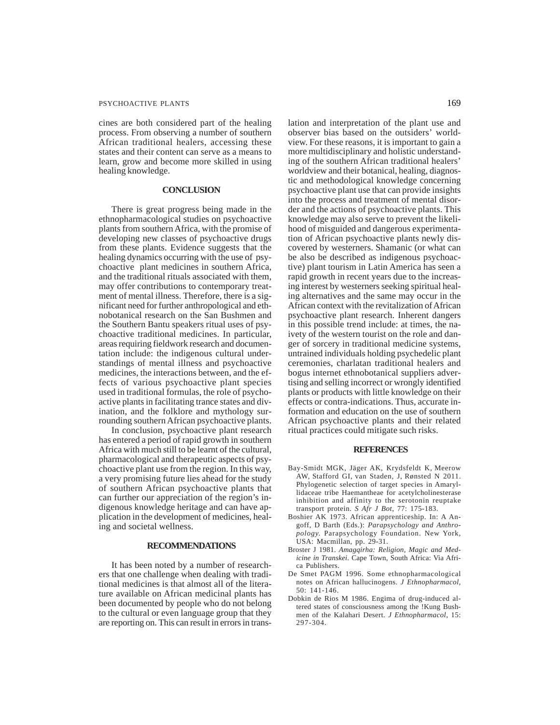cines are both considered part of the healing process. From observing a number of southern African traditional healers, accessing these states and their content can serve as a means to learn, grow and become more skilled in using healing knowledge.

## **CONCLUSION**

There is great progress being made in the ethnopharmacological studies on psychoactive plants from southern Africa, with the promise of developing new classes of psychoactive drugs from these plants. Evidence suggests that the healing dynamics occurring with the use of psychoactive plant medicines in southern Africa, and the traditional rituals associated with them, may offer contributions to contemporary treatment of mental illness. Therefore, there is a significant need for further anthropological and ethnobotanical research on the San Bushmen and the Southern Bantu speakers ritual uses of psychoactive traditional medicines. In particular, areas requiring fieldwork research and documentation include: the indigenous cultural understandings of mental illness and psychoactive medicines, the interactions between, and the effects of various psychoactive plant species used in traditional formulas, the role of psychoactive plants in facilitating trance states and divination, and the folklore and mythology surrounding southern African psychoactive plants.

In conclusion, psychoactive plant research has entered a period of rapid growth in southern Africa with much still to be learnt of the cultural, pharmacological and therapeutic aspects of psychoactive plant use from the region. In this way, a very promising future lies ahead for the study of southern African psychoactive plants that can further our appreciation of the region's indigenous knowledge heritage and can have application in the development of medicines, healing and societal wellness.

#### **RECOMMENDATIONS**

It has been noted by a number of researchers that one challenge when dealing with traditional medicines is that almost all of the literature available on African medicinal plants has been documented by people who do not belong to the cultural or even language group that they are reporting on. This can result in errors in translation and interpretation of the plant use and observer bias based on the outsiders' worldview. For these reasons, it is important to gain a more multidisciplinary and holistic understanding of the southern African traditional healers' worldview and their botanical, healing, diagnostic and methodological knowledge concerning psychoactive plant use that can provide insights into the process and treatment of mental disorder and the actions of psychoactive plants. This knowledge may also serve to prevent the likelihood of misguided and dangerous experimentation of African psychoactive plants newly discovered by westerners. Shamanic (or what can be also be described as indigenous psychoactive) plant tourism in Latin America has seen a rapid growth in recent years due to the increasing interest by westerners seeking spiritual healing alternatives and the same may occur in the African context with the revitalization of African psychoactive plant research. Inherent dangers in this possible trend include: at times, the naivety of the western tourist on the role and danger of sorcery in traditional medicine systems, untrained individuals holding psychedelic plant ceremonies, charlatan traditional healers and bogus internet ethnobotanical suppliers advertising and selling incorrect or wrongly identified plants or products with little knowledge on their effects or contra-indications. Thus, accurate information and education on the use of southern African psychoactive plants and their related ritual practices could mitigate such risks.

#### **REFERENCES**

- Bay-Smidt MGK, Jäger AK, Krydsfeldt K, Meerow AW, Stafford GI, van Staden, J, Rønsted N 2011. Phylogenetic selection of target species in Amaryllidaceae tribe Haemantheae for acetylcholinesterase inhibition and affinity to the serotonin reuptake transport protein. *S Afr J Bot*, 77: 175-183.
- Boshier AK 1973. African apprenticeship. In: A Angoff, D Barth (Eds.): *Parapsychology and Anthropology.* Parapsychology Foundation. New York, USA: Macmillan, pp. 29-31.
- Broster J 1981. *Amagqirha: Religion, Magic and Medicine in Transkei*. Cape Town, South Africa: Via Africa Publishers.
- De Smet PAGM 1996. Some ethnopharmacological notes on African hallucinogens. *J Ethnopharmacol*, 50: 141-146.
- Dobkin de Rios M 1986. Engima of drug-induced altered states of consciousness among the !Kung Bushmen of the Kalahari Desert. *J Ethnopharmacol*, 15: 297-304.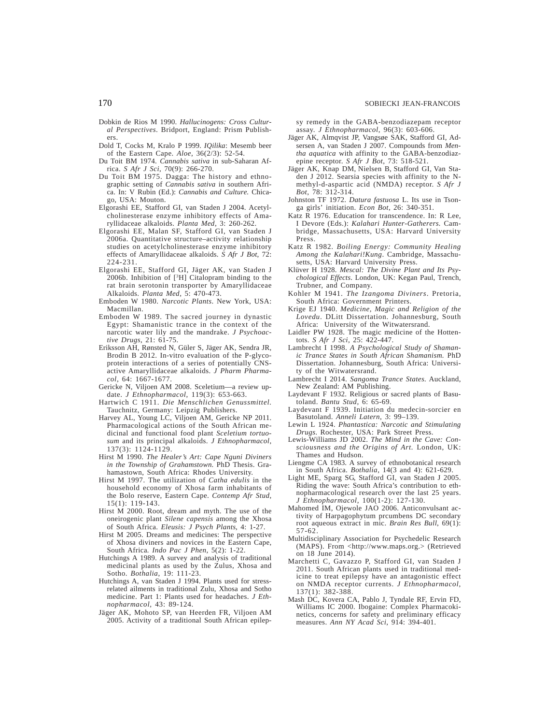- Dobkin de Rios M 1990. *Hallucinogens: Cross Cultural Perspectives*. Bridport, England: Prism Publishers.
- Dold T, Cocks M, Kralo P 1999. *IQilika*: Mesemb beer of the Eastern Cape. *Aloe*, 36(2/3): 52-54.
- Du Toit BM 1974. *Cannabis sativa* in sub-Saharan Africa. *S Afr J Sci*, 70(9): 266-270.
- Du Toit BM 1975. Dagga: The history and ethnographic setting of *Cannabis sativa* in southern Africa. In: V Rubin (Ed.): *Cannabis and Culture.* Chicago, USA: Mouton.
- Elgorashi EE, Stafford GI, van Staden J 2004. Acetylcholinesterase enzyme inhibitory effects of Amaryllidaceae alkaloids. *Planta Med*, 3: 260-262.
- Elgorashi EE, Malan SF, Stafford GI, van Staden J 2006a. Quantitative structure–activity relationship studies on acetylcholinesterase enzyme inhibitory effects of Amaryllidaceae alkaloids. *S Afr J Bot*, 72: 224-231.
- Elgorashi EE, Stafford GI, Jäger AK, van Staden J  $2006b$ . Inhibition of  $[{}^{3}H]$  Citalopram binding to the rat brain serotonin transporter by Amaryllidaceae Alkaloids. *Planta Med*, 5: 470-473.
- Emboden W 1980. *Narcotic Plants*. New York, USA: Macmillan.
- Emboden W 1989. The sacred journey in dynastic Egypt: Shamanistic trance in the context of the narcotic water lily and the mandrake. *J Psychoactive Drugs*, 21: 61-75.
- Eriksson AH, Rønsted N, Güler S, Jäger AK, Sendra JR, Brodin B 2012. In-vitro evaluation of the P-glycoprotein interactions of a series of potentially CNSactive Amaryllidaceae alkaloids. *J Pharm Pharmacol,* 64: 1667-1677.
- Gericke N, Viljoen AM 2008. Sceletium—a review update. *J Ethnopharmacol*, 119(3): 653-663.
- Hartwich C 1911. *Die Menschlichen Genussmittel.* Tauchnitz, Germany: Leipzig Publishers.
- Harvey AL, Young LC, Viljoen AM, Gericke NP 2011. Pharmacological actions of the South African medicinal and functional food plant *Sceletium tortuosum* and its principal alkaloids. *J Ethnopharmacol*, 137(3): 1124-1129.
- Hirst M 1990. *The Healer's Art: Cape Nguni Diviners in the Township of Grahamstown*. PhD Thesis. Grahamastown, South Africa: Rhodes University.
- Hirst M 1997. The utilization of *Catha edulis* in the household economy of Xhosa farm inhabitants of the Bolo reserve, Eastern Cape. *Contemp Afr Stud*, 15(1): 119-143.
- Hirst M 2000. Root, dream and myth. The use of the oneirogenic plant *Silene capensis* among the Xhosa of South Africa. *Eleusis: J Psych Plants*, 4: 1-27.
- Hirst M 2005. Dreams and medicines: The perspective of Xhosa diviners and novices in the Eastern Cape, South Africa*. Indo Pac J Phen*, 5(2): 1-22.
- Hutchings A 1989. A survey and analysis of traditional medicinal plants as used by the Zulus, Xhosa and Sotho. *Bothalia*, 19: 111-23.
- Hutchings A, van Staden J 1994. Plants used for stressrelated ailments in traditional Zulu, Xhosa and Sotho medicine. Part 1: Plants used for headaches. *J Ethnopharmacol*, 43: 89-124.
- Jäger AK, Mohoto SP, van Heerden FR, Viljoen AM 2005. Activity of a traditional South African epilep-

sy remedy in the GABA-benzodiazepam receptor assay. *J Ethnopharmacol*, 96(3): 603-606.

- Jäger AK, Almqvist JP, Vangsøe SAK, Stafford GI, Adsersen A, van Staden J 2007. Compounds from *Mentha aquatica* with affinity to the GABA-benzodiazepine receptor. *S Afr J Bot*, 73: 518-521.
- Jäger AK, Knap DM, Nielsen B, Stafford GI, Van Staden J 2012. Searsia species with affinity to the Nmethyl-d-aspartic acid (NMDA) receptor. *S Afr J Bot*, 78: 312-314.
- Johnston TF 1972. *Datura fastuosa* L. Its use in Tsonga girls' initiation. *Econ Bot*, 26: 340-351.
- Katz R 1976. Education for transcendence. In: R Lee, I Devore (Eds.): *Kalahari Hunter-Gatherers.* Cambridge, Massachusetts, USA: Harvard University Press.
- Katz R 1982. *Boiling Energy: Community Healing Among the Kalahari!Kung*. Cambridge, Massachusetts, USA: Harvard University Press.
- Klüver H 1928. *Mescal: The Divine Plant and Its Psychological Effects*. London, UK: Kegan Paul, Trench, Trubner, and Company.
- Kohler M 1941. *The Izangoma Diviners*. Pretoria, South Africa: Government Printers.
- Krige EJ 1940. *Medicine, Magic and Religion of the Lovedu*. DLitt Dissertation. Johannesburg, South Africa: University of the Witwatersrand.
- Laidler PW 1928. The magic medicine of the Hottentots. *S Afr J Sci*, 25: 422-447.
- Lambrecht I 1998. *A Psychological Study of Shamanic Trance States in South African Shamanism.* PhD Dissertation. Johannesburg, South Africa: University of the Witwatersrand.
- Lambrecht I 2014. *Sangoma Trance States.* Auckland, New Zealand: AM Publishing.
- Laydevant F 1932. Religious or sacred plants of Basutoland. *Bantu Stud*, 6: 65-69.
- Laydevant F 1939. Initiation du medecin-sorcier en Basutoland. *Anneli Latern*, 3: 99–139.
- Lewin L 1924. *Phantastica: Narcotic and Stimulating Drugs*. Rochester, USA: Park Street Press.
- Lewis-Williams JD 2002. *The Mind in the Cave: Consciousness and the Origins of Art.* London, UK: Thames and Hudson.
- Liengme CA 1983. A survey of ethnobotanical research in South Africa. *Bothalia*, 14(3 and 4): 621-629.
- Light ME, Sparg SG, Stafford GI, van Staden J 2005. Riding the wave: South Africa's contribution to ethnopharmacological research over the last 25 years. *J Ethnopharmacol*, 100(1-2): 127-130.
- Mahomed IM, Ojewole JAO 2006. Anticonvulsant activity of Harpagophytum prcumbens DC secondary root aqueous extract in mic. *Brain Res Bull*, 69(1): 57-62.
- Multidisciplinary Association for Psychedelic Research (MAPS). From <http://www.maps.org.> (Retrieved on 18 June 2014).
- Marchetti C, Gavazzo P, Stafford GI, van Staden J 2011. South African plants used in traditional medicine to treat epilepsy have an antagonistic effect on NMDA receptor currents. *J Ethnopharmacol*, 137(1): 382-388.
- Mash DC, Kovera CA, Pablo J, Tyndale RF, Ervin FD, Williams IC 2000. Ibogaine: Complex Pharmacokinetics, concerns for safety and preliminary efficacy measures. *Ann NY Acad Sci*, 914: 394-401.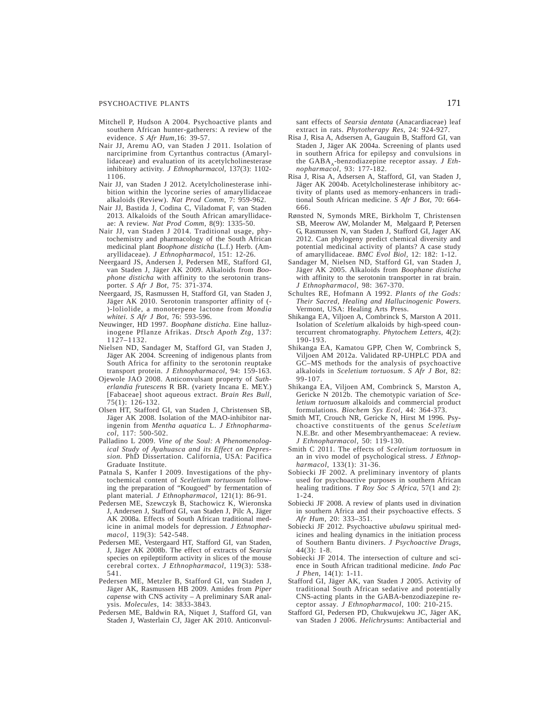#### PSYCHOACTIVE PLANTS 171

- Mitchell P, Hudson A 2004. Psychoactive plants and southern African hunter-gatherers: A review of the evidence. *S Afr Hum*,16: 39-57.
- Nair JJ, Aremu AO, van Staden J 2011. Isolation of narciprimine from Cyrtanthus contractus (Amaryllidaceae) and evaluation of its acetylcholinesterase inhibitory activity. *J Ethnopharmacol,* 137(3): 1102- 1106.
- Nair JJ, van Staden J 2012. Acetylcholinesterase inhibition within the lycorine series of amaryllidaceae alkaloids (Review). *Nat Prod Comm,* 7: 959-962.
- Nair JJ, Bastida J, Codina C, Viladomat F, van Staden 2013. Alkaloids of the South African amaryllidaceae: A review. *Nat Prod Comm,* 8(9): 1335-50.
- Nair JJ, van Staden J 2014. Traditional usage, phytochemistry and pharmacology of the South African medicinal plant *Boophone disticha* (L.f.) Herb. (Amaryllidaceae). *J Ethnopharmacol*, 151: 12-26.
- Neergaard JS, Andersen J, Pedersen ME, Stafford GI, van Staden J, Jäger AK 2009. Alkaloids from *Boophone disticha* with affinity to the serotonin transporter. *S Afr J Bot*, 75: 371-374.
- Neergaard, JS, Rasmussen H, Stafford GI, van Staden J, Jäger AK 2010. Serotonin transporter affinity of (- )-loliolide, a monoterpene lactone from *Mondia whitei*. *S Afr J Bot*, 76: 593-596.
- Neuwinger, HD 1997. *Boophane disticha*. Eine halluzinogene Pflanze Afrikas. *Dtsch Apoth Ztg,* 137: 1127–1132.
- Nielsen ND, Sandager M, Stafford GI, van Staden J, Jäger AK 2004. Screening of indigenous plants from South Africa for affinity to the serotonin reuptake transport protein. *J Ethnopharmacol*, 94: 159-163.
- Ojewole JAO 2008. Anticonvulsant property of *Sutherlandia frutescens* R BR. (variety Incana E. MEY.) [Fabaceae] shoot aqueous extract. *Brain Res Bull*, 75(1): 126-132.
- Olsen HT, Stafford GI, van Staden J, Christensen SB, Jäger AK 2008. Isolation of the MAO-inhibitor naringenin from *Mentha aquatica* L. *J Ethnopharmacol*, 117: 500-502.
- Palladino L 2009. *Vine of the Soul: A Phenomenological Study of Ayahuasca and its Effect on Depression.* PhD Dissertation. California, USA: Pacifica Graduate Institute.
- Patnala S, Kanfer I 2009. Investigations of the phytochemical content of *Sceletium tortuosum* following the preparation of "Kougoed" by fermentation of plant material*. J Ethnopharmacol*, 121(1): 86-91.
- Pedersen ME, Szewczyk B, Stachowicz K, Wieronska J, Andersen J, Stafford GI, van Staden J, Pilc A, Jäger AK 2008a. Effects of South African traditional medicine in animal models for depression. *J Ethnopharmacol*, 119(3): 542-548.
- Pedersen ME, Vestergaard HT, Stafford GI, van Staden, J, Jäger AK 2008b. The effect of extracts of *Searsia* species on epileptiform activity in slices of the mouse cerebral cortex. *J Ethnopharmacol*, 119(3): 538- 541.
- Pedersen ME, Metzler B, Stafford GI, van Staden J, Jäger AK, Rasmussen HB 2009. Amides from *Piper capense* with CNS activity – A preliminary SAR analysis. *Molecules*, 14: 3833-3843.
- Pedersen ME, Baldwin RA, Niquet J, Stafford GI, van Staden J, Wasterlain CJ, Jäger AK 2010. Anticonvul-

sant effects of *Searsia dentata* (Anacardiaceae) leaf extract in rats. *Phytotherapy Res*, 24: 924-927.

- Risa J, Risa A, Adsersen A, Gauguin B, Stafford GI, van Staden J, Jäger AK 2004a. Screening of plants used in southern Africa for epilepsy and convulsions in the GABA<sub>s</sub>-benzodiazepine receptor assay. *J Ethnopharmacol*, 93: 177-182.
- Risa J, Risa A, Adsersen A, Stafford, GI, van Staden J, Jäger AK 2004b. Acetylcholinesterase inhibitory activity of plants used as memory-enhancers in traditional South African medicine. *S Afr J Bot*, 70: 664- 666.
- Rønsted N, Symonds MRE, Birkholm T, Christensen SB, Meerow AW, Molander M, Mølgaard P, Petersen G, Rasmussen N, van Staden J, Stafford GI, Jager AK 2012. Can phylogeny predict chemical diversity and potential medicinal activity of plants? A case study of amaryllidaceae. *BMC Evol Biol,* 12: 182: 1-12.
- Sandager M, Nielsen ND, Stafford GI, van Staden J, Jäger AK 2005. Alkaloids from *Boophane disticha* with affinity to the serotonin transporter in rat brain. *J Ethnopharmacol*, 98: 367-370.
- Schultes RE, Hofmann A 1992. *Plants of the Gods: Their Sacred, Healing and Hallucinogenic Powers*. Vermont, USA: Healing Arts Press.
- Shikanga EA, Viljoen A, Combrinck S, Marston A 2011. Isolation of *Sceletium* alkaloids by high-speed countercurrent chromatography. *Phytochem Letters*, 4(2): 190-193.
- Shikanga EA, Kamatou GPP, Chen W, Combrinck S, Viljoen AM 2012a. Validated RP-UHPLC PDA and GC–MS methods for the analysis of psychoactive alkaloids in *Sceletium tortuosum*. *S Afr J Bot*, 82: 99-107.
- Shikanga EA, Viljoen AM, Combrinck S, Marston A, Gericke N 2012b. The chemotypic variation of *Sceletium tortuosum* alkaloids and commercial product formulations. *Biochem Sys Ecol*, 44: 364-373.
- Smith MT, Crouch NR, Gericke N, Hirst M 1996. Psychoactive constituents of the genus *Sceletium* N.E.Br. and other Mesembryanthemaceae: A review. *J Ethnopharmacol*, 50: 119-130.
- Smith C 2011. The effects of *Sceletium tortuosum* in an in vivo model of psychological stress. *J Ethnopharmacol*, 133(1): 31-36.
- Sobiecki JF 2002. A preliminary inventory of plants used for psychoactive purposes in southern African healing traditions. *T Roy Soc S Africa*, 57(1 and 2): 1-24.
- Sobiecki JF 2008. A review of plants used in divination in southern Africa and their psychoactive effects. *S Afr Hum*, 20: 333–351.
- Sobiecki JF 2012. Psychoactive *ubulawu* spiritual medicines and healing dynamics in the initiation process of Southern Bantu diviners. *J Psychoactive Drugs*, 44(3): 1-8.
- Sobiecki JF 2014. The intersection of culture and science in South African traditional medicine. *Indo Pac J Phen,* 14(1): 1-11.
- Stafford GI, Jäger AK, van Staden J 2005. Activity of traditional South African sedative and potentially CNS-acting plants in the GABA-benzodiazepine receptor assay. *J Ethnopharmacol*, 100: 210-215.
- Stafford GI, Pedersen PD, Chukwujekwu JC, Jäger AK, van Staden J 2006. *Helichrysums*: Antibacterial and